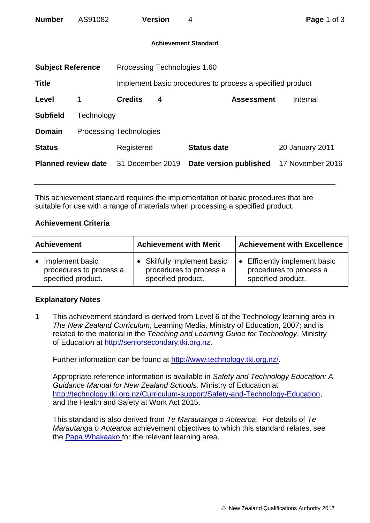| <b>Number</b>               | AS91082                        |                              | <b>Version</b> | 4                                                         | Page 1 of 3            |  |  |
|-----------------------------|--------------------------------|------------------------------|----------------|-----------------------------------------------------------|------------------------|--|--|
| <b>Achievement Standard</b> |                                |                              |                |                                                           |                        |  |  |
| <b>Subject Reference</b>    |                                | Processing Technologies 1.60 |                |                                                           |                        |  |  |
| <b>Title</b>                |                                |                              |                | Implement basic procedures to process a specified product |                        |  |  |
| Level                       | 1                              | <b>Credits</b>               | 4              | <b>Assessment</b>                                         | Internal               |  |  |
| <b>Subfield</b>             | Technology                     |                              |                |                                                           |                        |  |  |
| <b>Domain</b>               | <b>Processing Technologies</b> |                              |                |                                                           |                        |  |  |
| <b>Status</b>               |                                | Registered                   |                | <b>Status date</b>                                        | <b>20 January 2011</b> |  |  |
| <b>Planned review date</b>  |                                | 31 December 2019             |                | Date version published                                    | 17 November 2016       |  |  |

This achievement standard requires the implementation of basic procedures that are suitable for use with a range of materials when processing a specified product.

## **Achievement Criteria**

| <b>Achievement</b>                                                            | <b>Achievement with Merit</b>                                              | <b>Achievement with Excellence</b>                                                  |  |
|-------------------------------------------------------------------------------|----------------------------------------------------------------------------|-------------------------------------------------------------------------------------|--|
| Implement basic<br>$\bullet$<br>procedures to process a<br>specified product. | Skilfully implement basic<br>procedures to process a<br>specified product. | <b>Efficiently implement basic</b><br>procedures to process a<br>specified product. |  |

## **Explanatory Notes**

1 This achievement standard is derived from Level 6 of the Technology learning area in *The New Zealand Curriculum*, Learning Media, Ministry of Education, 2007; and is related to the material in the *Teaching and Learning Guide for Technology*, Ministry of Education at [http://seniorsecondary.tki.org.nz.](http://seniorsecondary.tki.org.nz/)

Further information can be found at [http://www.technology.tki.org.nz/.](http://www.technology.tki.org.nz/)

Appropriate reference information is available in *Safety and Technology Education: A Guidance Manual for New Zealand Schools,* Ministry of Education at [http://technology.tki.org.nz/Curriculum-support/Safety-and-Technology-Education,](http://technology.tki.org.nz/Curriculum-support/Safety-and-Technology-Education) and the Health and Safety at Work Act 2015.

This standard is also derived from *Te Marautanga o Aotearoa*. For details of *Te Marautanga o Aotearoa* achievement objectives to which this standard relates, see the [Papa Whakaako](http://tmoa.tki.org.nz/Te-Marautanga-o-Aotearoa/Taumata-Matauranga-a-Motu-Ka-Taea) for the relevant learning area.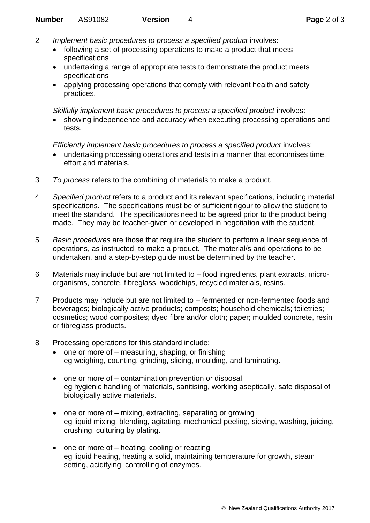- 2 *Implement basic procedures to process a specified product* involves:
	- following a set of processing operations to make a product that meets specifications
	- undertaking a range of appropriate tests to demonstrate the product meets specifications
	- applying processing operations that comply with relevant health and safety practices.

*Skilfully implement basic procedures to process a specified product* involves:

• showing independence and accuracy when executing processing operations and tests.

*Efficiently implement basic procedures to process a specified product involves:* 

- undertaking processing operations and tests in a manner that economises time, effort and materials.
- 3 *To process* refers to the combining of materials to make a product.
- 4 *Specified product* refers to a product and its relevant specifications, including material specifications. The specifications must be of sufficient rigour to allow the student to meet the standard. The specifications need to be agreed prior to the product being made. They may be teacher-given or developed in negotiation with the student.
- 5 *Basic procedures* are those that require the student to perform a linear sequence of operations, as instructed, to make a product. The material/s and operations to be undertaken, and a step-by-step guide must be determined by the teacher.
- 6 Materials may include but are not limited to food ingredients, plant extracts, microorganisms, concrete, fibreglass, woodchips, recycled materials, resins.
- 7 Products may include but are not limited to fermented or non-fermented foods and beverages; biologically active products; composts; household chemicals; toiletries; cosmetics; wood composites; dyed fibre and/or cloth; paper; moulded concrete, resin or fibreglass products.
- 8 Processing operations for this standard include:
	- one or more of measuring, shaping, or finishing eg weighing, counting, grinding, slicing, moulding, and laminating.
	- one or more of contamination prevention or disposal eg hygienic handling of materials, sanitising, working aseptically, safe disposal of biologically active materials.
	- one or more of mixing, extracting, separating or growing eg liquid mixing, blending, agitating, mechanical peeling, sieving, washing, juicing, crushing, culturing by plating.
	- one or more of heating, cooling or reacting eg liquid heating, heating a solid, maintaining temperature for growth, steam setting, acidifying, controlling of enzymes.